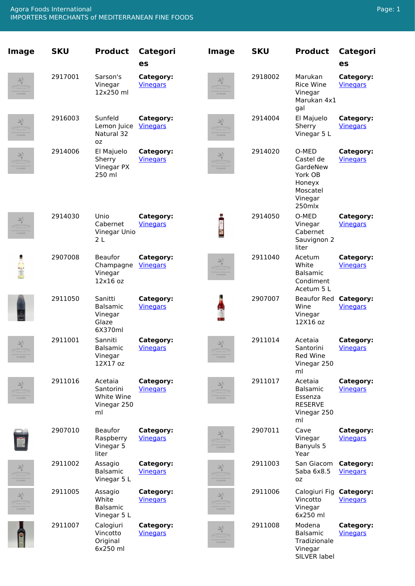<span id="page-0-0"></span>

| <b>Image</b>                          | <b>SKU</b> | <b>Product</b>                                            | <b>Categori</b><br>es        | <b>Image</b>                                      | <b>SKU</b> | <b>Product</b>                                                                       | <b>Categori</b><br>es        |
|---------------------------------------|------------|-----------------------------------------------------------|------------------------------|---------------------------------------------------|------------|--------------------------------------------------------------------------------------|------------------------------|
| AVA FOODS<br>216-238-4005             | 2917001    | Sarson's<br>Vinegar<br>12x250 ml                          | Category:<br><b>Vinegars</b> | AGORA FOODS<br>216-231-4005                       | 2918002    | Marukan<br><b>Rice Wine</b><br>Vinegar<br>Marukan 4x1<br>gal                         | Category:<br><b>Vinegars</b> |
| AGORA FOODS<br>216-238-4005           | 2916003    | Sunfeld<br>Lemon Juice<br>Natural 32<br>oz                | Category:<br><b>Vinegars</b> | AGORA FOODS<br>216-238-4005                       | 2914004    | El Majuelo<br>Sherry<br>Vinegar 5 L                                                  | Category:<br><b>Vinegars</b> |
| AGORA FOODS<br>216-238-4005           | 2914006    | El Majuelo<br>Sherry<br>Vinegar PX<br>250 ml              | Category:<br><b>Vinegars</b> | AGORA FOODS<br>216-231-4005                       | 2914020    | O-MED<br>Castel de<br>GardeNew<br>York OB<br>Honeyx<br>Moscatel<br>Vinegar<br>250mlx | Category:<br><b>Vinegars</b> |
| 巣<br>GORAFOOD<br>216-238-4005         | 2914030    | Unio<br>Cabernet<br>Vinegar Unio<br>2L                    | Category:<br><b>Vinegars</b> |                                                   | 2914050    | O-MED<br>Vinegar<br>Cabernet<br>Sauvignon 2<br>liter                                 | Category:<br><b>Vinegars</b> |
|                                       | 2907008    | Beaufor<br>Champagne<br>Vinegar<br>12x16 oz               | Category:<br><b>Vinegars</b> | AL<br>AGORA FOODS<br>216-238-4005                 | 2911040    | Acetum<br>White<br><b>Balsamic</b><br>Condiment<br>Acetum 5 L                        | Category:<br><b>Vinegars</b> |
|                                       | 2911050    | Sanitti<br><b>Balsamic</b><br>Vinegar<br>Glaze<br>6X370ml | Category:<br><b>Vinegars</b> | Щ                                                 | 2907007    | Beaufor Red Category:<br>Wine<br>Vinegar<br>12X16 oz                                 | <b>Vinegars</b>              |
| AGORA FOODS<br>216-231-4005           | 2911001    | Sanniti<br><b>Balsamic</b><br>Vinegar<br>12X17 oz         | Category:<br><b>Vinegars</b> | AGORA FOODS<br>216-238-4005                       | 2911014    | Acetaia<br>Santorini<br>Red Wine<br>Vinegar 250<br>ml                                | Category:<br><b>Vinegars</b> |
| 巣<br>GORA FOODS<br>216-238-4005       | 2911016    | Acetaia<br>Santorini<br>White Wine<br>Vinegar 250<br>ml   | Category:<br><b>Vinegars</b> | AGORA FOODS<br>216-238-4005                       | 2911017    | Acetaia<br><b>Balsamic</b><br>Essenza<br><b>RESERVE</b><br>Vinegar 250<br>ml         | Category:<br><b>Vinegars</b> |
|                                       | 2907010    | <b>Beaufor</b><br>Raspberry<br>Vinegar 5<br>liter         | Category:<br><b>Vinegars</b> | $\overline{\pi_1}$<br>AGORA FOODS<br>216-238-4005 | 2907011    | Cave<br>Vinegar<br>Banyuls 5<br>Year                                                 | Category:<br><b>Vinegars</b> |
| 巣<br><b>GORA FOOD</b><br>216-231-4005 | 2911002    | Assagio<br>Balsamic<br>Vinegar 5 L                        | Category:<br><b>Vinegars</b> | 71<br>AGORA FOODS<br>216-231-4005                 | 2911003    | San Giacom<br>Saba 6x8.5<br>0Z                                                       | Category:<br><b>Vinegars</b> |
| 巣<br>GORA FOODS<br>216-231-4005       | 2911005    | Assagio<br>White<br><b>Balsamic</b><br>Vinegar 5 L        | Category:<br><b>Vinegars</b> | AGORA FOODS<br>216-238-4005                       | 2911006    | Calogiuri Fig<br>Vincotto<br>Vinegar<br>6x250 ml                                     | Category:<br><b>Vinegars</b> |
|                                       | 2911007    | Calogiuri<br>Vincotto<br>Original<br>6x250 ml             | Category:<br><b>Vinegars</b> | AGORA FOODS<br>216-238-4005                       | 2911008    | Modena<br>Balsamic<br>Tradizionale<br>Vinegar<br>SILVER label                        | Category:<br><b>Vinegars</b> |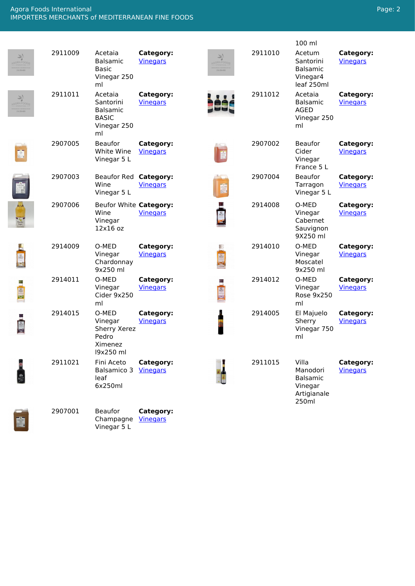## <span id="page-1-0"></span>Agora Foods International IMPORTERS MERCHANTS of MEDITERRANEAN FINE FOODS

|                              |         |                                                                              |                              |                             |         | 100 ml                                                                  |                              |
|------------------------------|---------|------------------------------------------------------------------------------|------------------------------|-----------------------------|---------|-------------------------------------------------------------------------|------------------------------|
| AGORA FOODS<br>216-231-4005  | 2911009 | Acetaia<br><b>Balsamic</b><br><b>Basic</b><br>Vinegar 250<br>ml              | Category:<br><b>Vinegars</b> | AGORA FOODS<br>216-231-4005 | 2911010 | Acetum<br>Santorini<br><b>Balsamic</b><br>Vinegar4<br>leaf 250ml        | Category:<br><b>Vinegars</b> |
| AGORA FOODS<br>216-238-4005  | 2911011 | Acetaia<br>Santorini<br><b>Balsamic</b><br><b>BASIC</b><br>Vinegar 250<br>ml | Category:<br><b>Vinegars</b> |                             | 2911012 | Acetaia<br>Balsamic<br><b>AGED</b><br>Vinegar 250<br>ml                 | Category:<br><b>Vinegars</b> |
| H                            | 2907005 | <b>Beaufor</b><br>White Wine<br>Vinegar 5 L                                  | Category:<br><b>Vinegars</b> |                             | 2907002 | <b>Beaufor</b><br>Cider<br>Vinegar<br>France 5 L                        | Category:<br><b>Vinegars</b> |
|                              | 2907003 | <b>Beaufor Red</b><br>Wine<br>Vinegar 5 L                                    | Category:<br><b>Vinegars</b> |                             | 2907004 | <b>Beaufor</b><br>Tarragon<br>Vinegar 5 L                               | Category:<br><b>Vinegars</b> |
|                              | 2907006 | Beufor White Category:<br>Wine<br>Vinegar<br>12x16 oz                        | <b>Vinegars</b>              |                             | 2914008 | O-MED<br>Vinegar<br>Cabernet<br>Sauvignon<br>9X250 ml                   | Category:<br><b>Vinegars</b> |
|                              | 2914009 | O-MED<br>Vinegar<br>Chardonnay<br>9x250 ml                                   | Category:<br><b>Vinegars</b> | 語傳話                         | 2914010 | O-MED<br>Vinegar<br>Moscatel<br>9x250 ml                                | Category:<br><b>Vinegars</b> |
| 1991 第                       | 2914011 | O-MED<br>Vinegar<br>Cider 9x250<br>ml                                        | Category:<br><b>Vinegars</b> | 19913                       | 2914012 | O-MED<br>Vinegar<br>Rose 9x250<br>ml                                    | Category:<br><b>Vinegars</b> |
| $\frac{\sqrt{2}}{N+1}$<br>投资 | 2914015 | O-MED<br>Vinegar<br>Sherry Xerez<br>Pedro<br>Ximenez<br>19x250 ml            | Category:<br><b>Vinegars</b> |                             | 2914005 | El Majuelo<br>Sherry<br>Vinegar 750<br>ml                               | Category:<br><b>Vinegars</b> |
|                              | 2911021 | Fini Aceto<br>Balsamico 3<br>leaf<br>6x250ml                                 | Category:<br><b>Vinegars</b> |                             | 2911015 | Villa<br>Manodori<br><b>Balsamic</b><br>Vinegar<br>Artigianale<br>250ml | Category:<br><b>Vinegars</b> |
|                              | 2907001 | Beaufor<br>Champagne<br>Vinegar 5 L                                          | Category:<br><b>Vinegars</b> |                             |         |                                                                         |                              |